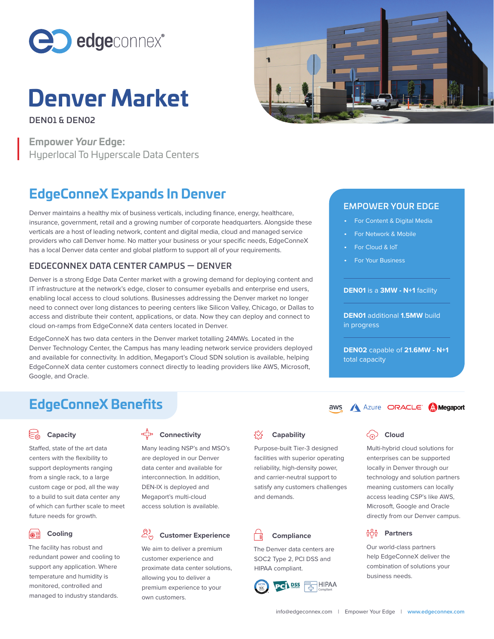

# **Denver Market**

DEN01 & DEN02 DEN01 & DEN02

**Empower Your Edge: Empower Your Edge:**  Hyperlocal To Hyperscale Data Centers Hyperlocal To Hyperscale Data Centers

# **EdgeConneX Expands In Denver EdgeConneX Expands In Denver**

Denver maintains a healthy mix of business verticals, including finance, energy, healthcare, insurance, government, retail and a growing number of corporate headquarters. Alongside these verticals are a host of leading network, content and digital media, cloud and managed service providers who call Denver home. No matter your business or your specific needs, EdgeConneX has a local Denver data center and global platform to support all of your requirements.

# EDGECONNEX DATA CENTER CAMPUS — DENVER

Denver is a strong Edge Data Center market with a growing demand for deploying content and IT infrastructure at the network's edge, closer to consumer eyeballs and enterprise end users, enabling local access to cloud solutions. Businesses addressing the Denver market no longer need to connect over long distances to peering centers like Silicon Valley, Chicago, or Dallas to access and distribute their content, applications, or data. Now they can deploy and connect to cloud on-ramps from EdgeConneX data centers located in Denver. Branch state and particular and a state of the constraints and the constraints and the state of the constraints and the constraints and the constraints and the constraints and the constraints are constraints and the const **Denver Werkers** partners help the computer of the computer of solution of solutions and the computer of the computer of the computer of the computer of the computer of the computer of the computer of the computer of the

EdgeConneX has two data centers in the Denver market totalling 24MWs. Located in the Denver Technology Center, the Campus has many leading network service providers deployed and available for connectivity. In addition, Megaport's Cloud SDN solution is available, helping EdgeConneX data center customers connect directly to leading providers like AWS, Microsoft, Google, and Oracle.



## EMPOWER YOUR EDGE

- For Content & Digital Media
- For Network & Mobile •For Network & Mobile
- For Cloud & IoT
- For Your Business •For Your Business

#### **DEN01** is a **3MW - N+1** facility **DEN01** is a **3MW - N+1** facility

**DEN01** additional **1.5MW** build **DEN01** additional **1.5MW** build in progressin progress

**DEN02** capable of **21.6MW - N+1 DEN02** capable of **24MW - N+1** total capacity total capacity

# **EdgeConneX Benefits**

## **Capacity**

Staffed, state of the art data centers with the flexibility to support deployments ranging from a single rack, to a large custom cage or pod, all the way to a build to suit data center any of which can further scale to meet future needs for growth.

#### **Cooling Cooling**

The facility has robust and redundant power and cooling to support any application. Where temperature and humidity is monitored, controlled and managed to industry standards. **E**<br> **E**<br> **Cooling**<br>
Cooling<br>
The facility has robust and<br>
The facility has robust and<br>
redundant power and cooling to<br>
subset of the customer experience and<br>
subset of the Denver data centers are<br>
soc2 Type 2, PCI DSS an

# **Connectivity**

Many leading NSP's and MSO's are deployed in our Denver data center and available for interconnection. In addition, DEN-IX is deployed and Megaport's multi-cloud access solution is available.

# **Customer Experience**

We aim to deliver a premium customer experience and proximate data center solutions, allowing you to deliver a premium experience to your own customers.

# **Capability**

Purpose-built Tier-3 designed facilities with superior operating reliability, high-density power, and carrier-neutral support to satisfy any customers challenges and demands.

# **Compliance**

The Denver data centers are SOC2 Type 2, PCI DSS and SOC2 Type 2, PCI DSS and HIPAA compliant. HIPAA compliant.



# **Coud**

Multi-hybrid cloud solutions for enterprises can be supported locally in Denver through our technology and solution partners meaning customers can locally access leading CSP's like AWS, Microsoft, Google and Oracle directly from our Denver campus.

# **Partners Partners**

Our world-class partners help EdgeConneX deliver the combination of solutions your business needs.